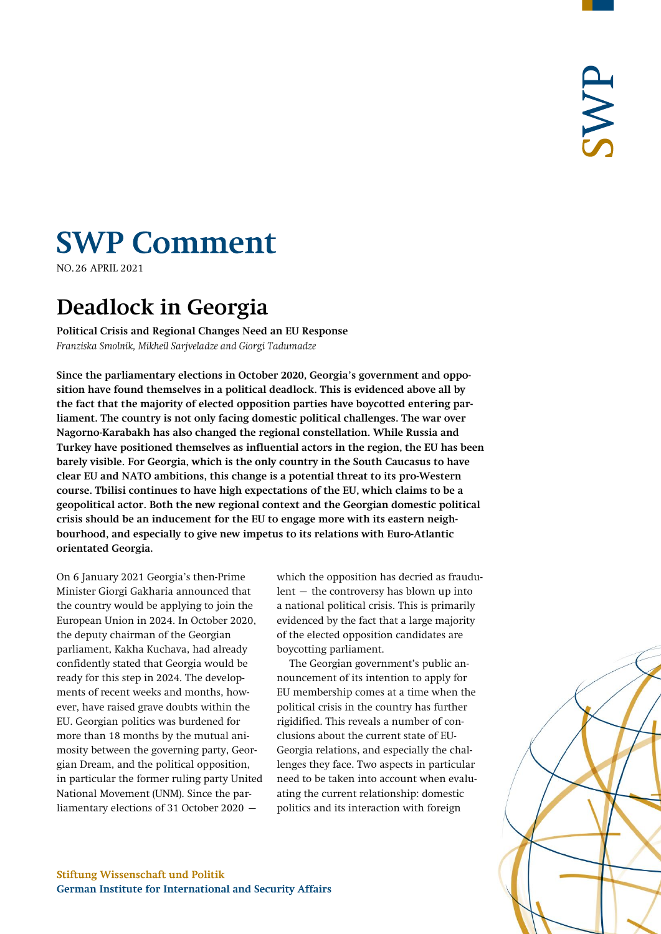# **SWP Comment**

NO.26 APRIL 2021 **Introduction**

## **Deadlock in Georgia**

**Political Crisis and Regional Changes Need an EU Response** *Franziska Smolnik, Mikheil Sarjveladze and Giorgi Tadumadze*

**Since the parliamentary elections in October 2020, Georgia's government and opposition have found themselves in a political deadlock. This is evidenced above all by the fact that the majority of elected opposition parties have boycotted entering parliament. The country is not only facing domestic political challenges. The war over Nagorno-Karabakh has also changed the regional constellation. While Russia and Turkey have positioned themselves as influential actors in the region, the EU has been barely visible. For Georgia, which is the only country in the South Caucasus to have clear EU and NATO ambitions, this change is a potential threat to its pro-Western course. Tbilisi continues to have high expectations of the EU, which claims to be a geopolitical actor. Both the new regional context and the Georgian domestic political crisis should be an inducement for the EU to engage more with its eastern neighbourhood, and especially to give new impetus to its relations with Euro-Atlantic orientated Georgia.**

On 6 January 2021 Georgia's then-Prime Minister Giorgi Gakharia announced that the country would be applying to join the European Union in 2024. In October 2020, the deputy chairman of the Georgian parliament, Kakha Kuchava, had already confidently stated that Georgia would be ready for this step in 2024. The developments of recent weeks and months, however, have raised grave doubts within the EU. Georgian politics was burdened for more than 18 months by the mutual animosity between the governing party, Georgian Dream, and the political opposition, in particular the former ruling party United National Movement (UNM). Since the parliamentary elections of 31 October 2020 –

which the opposition has decried as fraudulent – the controversy has blown up into a national political crisis. This is primarily evidenced by the fact that a large majority of the elected opposition candidates are boycotting parliament.

The Georgian government's public announcement of its intention to apply for EU membership comes at a time when the political crisis in the country has further rigidified. This reveals a number of conclusions about the current state of EU-Georgia relations, and especially the challenges they face. Two aspects in particular need to be taken into account when evaluating the current relationship: domestic politics and its interaction with foreign

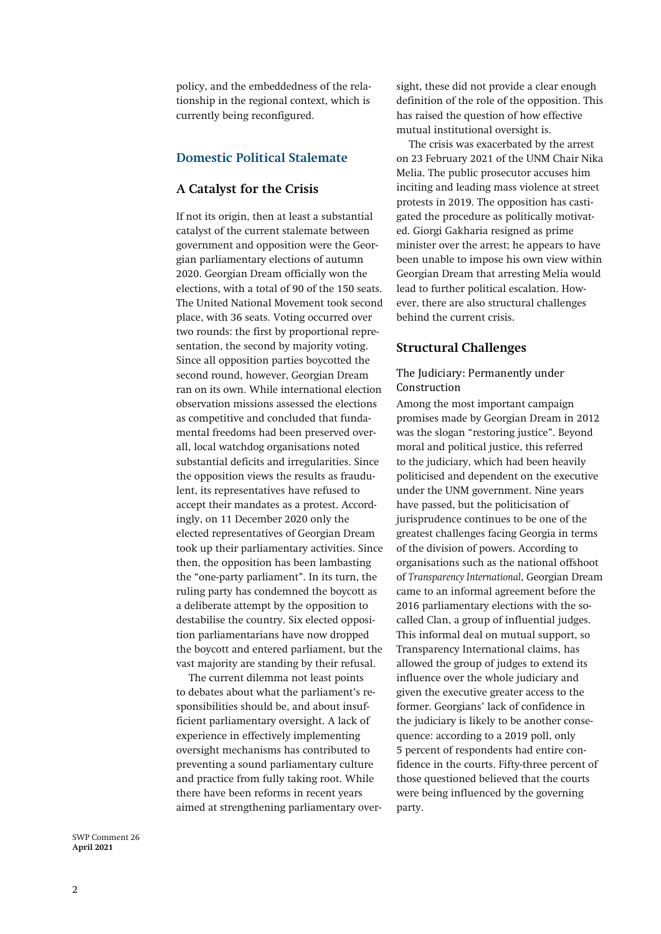policy, and the embeddedness of the relationship in the regional context, which is currently being reconfigured.

#### **Domestic Political Stalemate**

#### **A Catalyst for the Crisis**

If not its origin, then at least a substantial catalyst of the current stalemate between government and opposition were the Georgian parliamentary elections of autumn 2020. Georgian Dream officially won the elections, with a total of 90 of the 150 seats. The United National Movement took second place, with 36 seats. Voting occurred over two rounds: the first by proportional representation, the second by majority voting. Since all opposition parties boycotted the second round, however, Georgian Dream ran on its own. While internationa[l election](https://www.osce.org/files/f/documents/a/d/469005.pdf)  [observation missions](https://www.osce.org/files/f/documents/a/d/469005.pdf) assessed the elections as competitive and concluded that fundamental freedoms had been preserved overall, local watchdog [organisations](https://isfed.ge/eng/gantskhadebebi/samartliani-archevnebis-ganmarteba-khmebis-paraleluri-datvlis-PVT-ubnebis-shemadjamebel-oqmebtan-dakavshirebit) noted substantial deficits and irregularities. Since the opposition views the results as fraudulent, its representatives have refused to accept their mandates as a protest. Accordingly, on 11 December 2020 only the elected representatives of Georgian Dream took up their parliamentary activities. Since then, the opposition has been lambasting the "one-party parliament". In its turn, the ruling party has condemned the boycott as a deliberate attempt by the opposition to destabilise the country. Six elected opposition parliamentarians have now dropped the boycott and entered parliament, but the vast majority are standing by their refusal.

The current dilemma not least points to debates about what the parliament's responsibilities should be, and about insufficient parliamentary oversight. A lack of experience in effectively implementing oversight mechanisms has contributed to preventing a sound parliamentary culture and practice from fully taking root. While there have been [reforms](http://clr.iliauni.edu.ge/wp-content/uploads/2020/07/Kakha-Uriadmkopeli-pp.87-96.pdf) in recent years aimed at strengthening parliamentary oversight, these did not provide a clear enough definition of the [role of the opposition.](https://transparency.ge/en/post/parliamentary-control-georgia) This has raised the question of how effective mutual institutional oversight is.

The crisis was exacerbated by the arrest on 23 February 2021 of the UNM Chair Nika Melia. The public prosecutor accuses him inciting and leading mass violence at street protests in 2019. The opposition has castigated the procedure as politically motivated. Giorgi Gakharia resigned as prime minister over the arrest; he appears to have been unable to impose his own view within Georgian Dream that arresting Melia would lead to further political escalation. However, there are also structural challenges behind the current crisis.

#### **Structural Challenges**

#### The Judiciary: Permanently under Construction

Among the most important campaign promises made by Georgian Dream in 2012 was the slogan "restoring justice". Beyond moral and political justice, this referred to the judiciary, which had been heavily politicised and dependent on the executive under the UNM government. Nine years have passed, but the politicisation of jurisprudence continues to be one of the greatest challenges facing Georgia in terms of the division of powers. According to organisations such as the national offshoot of *[Transparency International](https://www.transparency.ge/en/blog/georgia-captured-state)*, Georgian Dream came to an informal agreement before the 2016 parliamentary elections with the socalled Clan, a group of influential judges. This [informal](https://doi.org/10.1080/09695958.2020.1776128) deal on mutual support, so Transparency International claims, has allowed the group of judges to extend its influence over the whole judiciary and given the executive greater access to the former. Georgians' lack of confidence in the judiciary is likely to be another consequence: according to a 2019 [poll,](https://www.transparency.ge/en/post/majority-respondents-say-judges-history-succumbing-political-pressure-should-leave-judiciary) only 5 percent of respondents had entire confidence in the courts. Fifty-three percent of those questioned believed that the courts were being influenced by the governing party.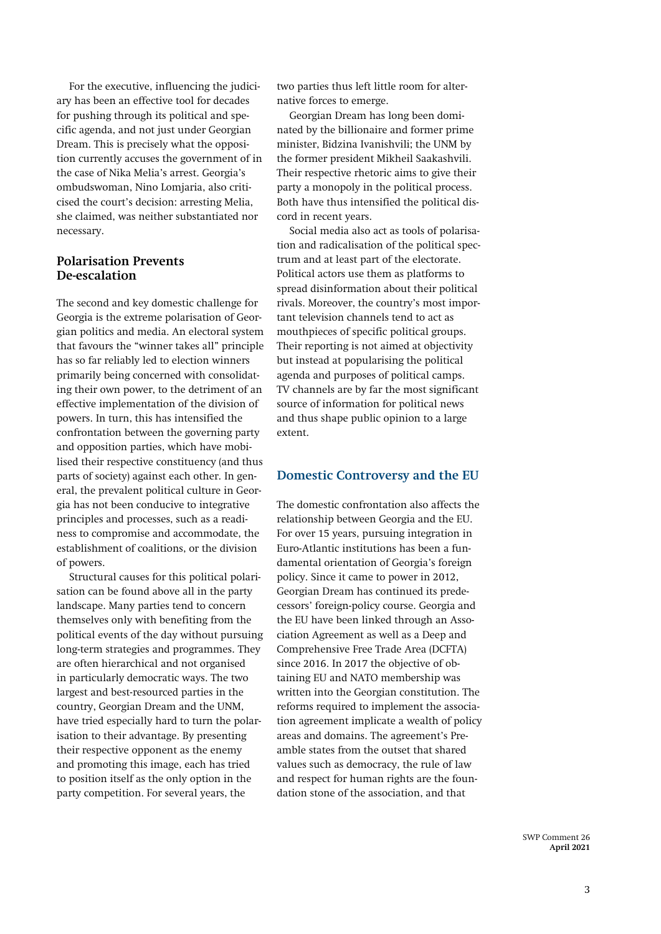For the executive, influencing the judiciary has been an effective tool for decades for pushing through its political and specific agenda, and not just under Georgian Dream. This is precisely what the opposition currently accuses the government of in the case of Nika Melia's arrest. Georgia's ombudswoman, [Nino Lomjaria,](https://www.ombudsman.ge/eng/akhali-ambebi/sakhalkho-damtsvelis-gantskhadeba-nika-melias-dapatimrebastan-dakavshirebit) also criticised the court's decision: arresting Melia, she claimed, was neither substantiated nor necessary.

#### **Polarisation Prevents De-escalation**

The second and key domestic challenge for Georgia is the extreme polarisation of Georgian politics and media. An electoral system that favours the "winner takes all" principle has so far reliably led to election winners primarily being concerned with consolidating their own power, to the detriment of an effective implementation of the division of powers. In turn, this has intensified the confrontation between the governing party and opposition parties, which have mobilised their respective constituency (and thus parts of society) against each other. In general, the prevalent political culture in Georgia has not been conducive to integrative principles and processes, such as a readiness to compromise and accommodate, the establishment of coalitions, or the division of powers.

Structural causes for this political polarisation can be found above all in the party landscape. Many parties tend to concern themselves only with benefiting from the political events of the day without pursuing long-term strategies and programmes. They are often hierarchical and not organised in particularly democratic ways. The two largest and best-resourced parties in the country, Georgian Dream and the UNM, have tried especially hard to turn the polarisation to their advantage. By presenting their respective opponent as the enemy and promoting this image, each has tried to position itself as the only option in the party competition. For several years, the

two parties thus left little room for alternative forces to emerge.

Georgian Dream has long been dominated by the billionaire and former prime minister, Bidzina Ivanishvili; the UNM by the former president Mikheil Saakashvili. Their respective rhetoric aims to give their party a monopoly in the political process. Both have thus intensified the political discord in recent years.

[Social media](http://gip.ge/wp-content/uploads/2019/03/Policy-brief-19-Nino-Robakidze.pdf) also act as tools of polarisation and radicalisation of the political spectrum and at least part of the electorate. Political actors use them as platforms to spread disinformation about their political rivals. Moreover, the country's most important television channels tend to act as [mouthpieces](https://www.osce.org/files/f/documents/a/d/469005.pdf) of specific political groups. Their reporting is not aimed at objectivity but instead at popularising the political agenda and purposes of political camps. TV channels are by far the [most significant](https://www.ndi.org/sites/default/files/NDI%20Georgia_December%202019_Public%20Presentation_ENG_VF.pdf)  [source of information](https://www.ndi.org/sites/default/files/NDI%20Georgia_December%202019_Public%20Presentation_ENG_VF.pdf) for political news and thus shape public opinion to a large extent.

#### **Domestic Controversy and the EU**

The domestic confrontation also affects the relationship between Georgia and the EU. For over 15 years, pursuing integration in Euro-Atlantic institutions has been a fundamental orientation of Georgia's foreign policy. Since it came to power in 2012, Georgian Dream has continued its predecessors' foreign-policy course. Georgia and the EU have been linked through an Association Agreement as well as a Deep and Comprehensive Free Trade Area (DCFTA) since 2016. In 2017 the objective of obtaining EU and NATO membership was written into the Georgian constitution. The reforms required to implement the association agreement implicate a wealth of policy areas and domains. The agreement's [Pre](https://eeas.europa.eu/sites/default/files/association_agreement.pdf)[amble](https://eeas.europa.eu/sites/default/files/association_agreement.pdf) states from the outset that shared values such as democracy, the rule of law and respect for human rights are the foundation stone of the association, and that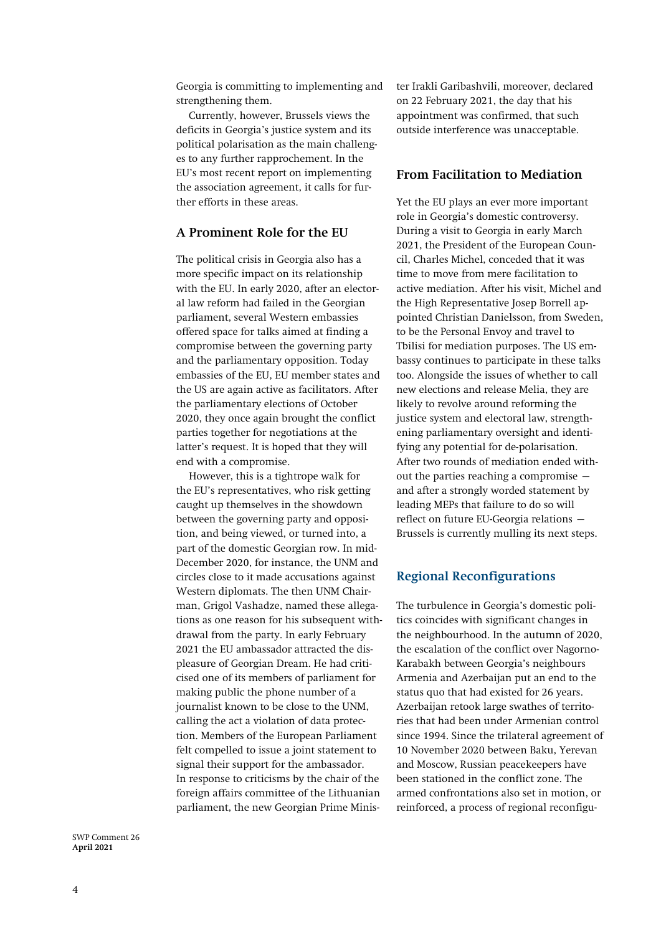Georgia is committing to implementing and strengthening them.

Currently, however, Brussels views the deficits in Georgia's justice system and its political polarisation as the main challenges to any further rapprochement. In the EU's most recent [report](https://eeas.europa.eu/sites/default/files/2021_association_implementation_report_in_georgia.pdf) on implementing the association agreement, it calls for further efforts in these areas.

#### **A Prominent Role for the EU**

The political crisis in Georgia also has a more specific impact on its relationship with the EU. In early 2020, after an electoral law reform had failed in the Georgian parliament, several Western embassies offered space for talks aimed at finding a compromise between the governing party and the parliamentary opposition. Today embassies of the EU, EU member states and the US are again active as facilitators. After the parliamentary elections of October 2020, they once again brought the conflict parties together for negotiations at the latter's request. It is hoped that they will end with a compromise.

However, this is a tightrope walk for the EU's representatives, who risk getting caught up themselves in the showdown between the governing party and opposition, and being viewed, or turned into, a part of the domestic Georgian row. In mid-December 2020, for instance, the UNM and circles close to it made accusations against Western diplomats. The then UNM Chairman, Grigol Vashadze, named these allegations as one reason for his subsequen[t with](https://oc-media.org/leader-of-georgias-largest-opposition-party-announces-retirement/)[drawal](https://oc-media.org/leader-of-georgias-largest-opposition-party-announces-retirement/) from the party. In early February 2021 the EU ambassador attracted the displeasure of Georgian Dream. He had criticised one of its members of parliament for making public the phone number of a journalist known to be close to the UNM, calling the act a violation of data protection. [Members](https://agenda.ge/en/news/2021/325) of the European Parliament felt compelled to issue a joint statement to signal their support for the ambassador. In response to criticisms by the chair of the foreign affairs committee of the Lithuanian parliament, the new Georgian Prime Minister Irakl[i Garibashvili,](https://netgazeti.ge/news/520953/) moreover, declared on 22 February 2021, the day that his appointment was confirmed, that such outside interference was unacceptable.

#### **From Facilitation to Mediation**

Yet the EU plays an ever more important role in Georgia's domestic controversy. During a visit to Georgia in early March 2021, the President of the European Council, Charles Michel, conceded that it was time to move from mere facilitation to active mediation. After his visit, Michel and the High Representative Josep Borrell appointed Christian Danielsson, from Sweden, to be the Personal Envoy and travel to Tbilisi for mediation purposes. The US embassy continues to participate in these talks too. Alongside the issues of whether to call new elections and release Melia, they are likely to revolve around reforming the justice system and electoral law, strengthening parliamentary oversight and identifying any potential for de-polarisation. After two rounds of mediation ended without the parties reaching a compromise – and after a strongly worded statement by leading MEPs that failure to do so will reflect on future EU-Georgia relations – Brussels is currently mulling its next steps.

#### **Regional Reconfigurations**

The turbulence in Georgia's domestic politics coincides with significant changes in the neighbourhood. In the autumn of 2020, the escalation of the conflict over Nagorno-Karabakh between Georgia's neighbours Armenia and Azerbaijan put an end to the status quo that had existed for 26 years. Azerbaijan retook large swathes of territories that had been under Armenian control since 1994. Since the trilateral agreement of 10 November 2020 between Baku, Yerevan and Moscow, Russian peacekeepers have been stationed in the conflict zone. The armed confrontations also set in motion, or reinforced, a process of regional reconfigu-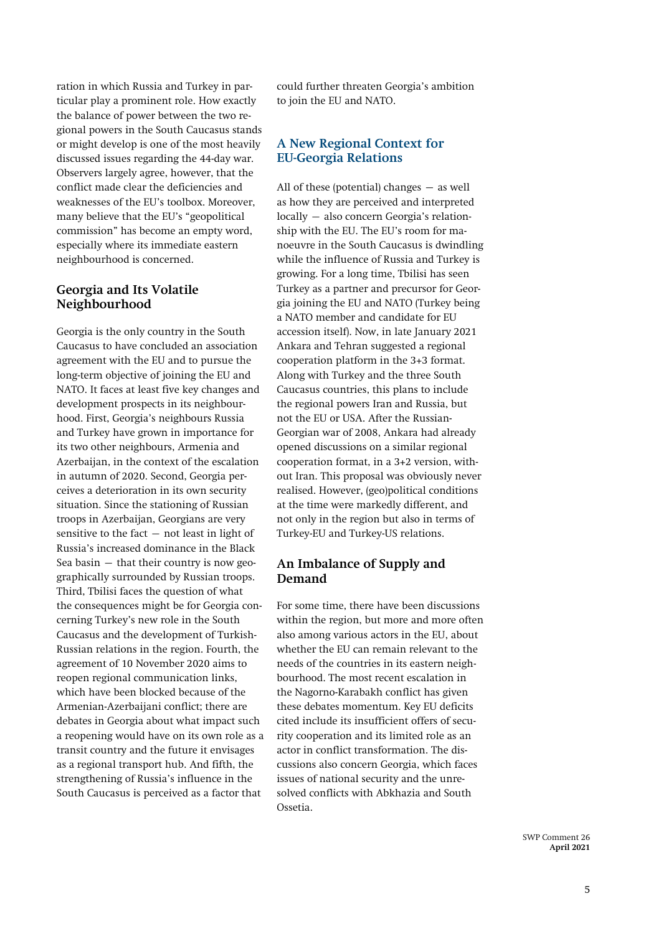ration in which Russia and Turkey in particular play a prominent role. How exactly the [balance of power](https://www.swp-berlin.org/10.18449/2020C53/) between the two regional powers in the South Caucasus stands or might develop is one of the most heavily discussed issues regarding the 44-day war. Observers largely agree, however, that the conflict made clear the deficiencies and weaknesses of the EU's toolbox. Moreover, many believe that the EU's "geopolitical commission" has become an empty word, especially where its immediate eastern neighbourhood is concerned.

#### **Georgia and Its Volatile Neighbourhood**

Georgia is the only country in the South Caucasus to have concluded an association agreement with the EU and to pursue the long-term objective of joining the EU and NATO. It faces at least five key changes and development prospects in its neighbourhood. First, Georgia's neighbours Russia and Turkey have grown in importance for its two other neighbours, Armenia and Azerbaijan, in the context of the escalation in autumn of 2020. Second, Georgia perceives a deterioration in its own security situation. Since the stationing of Russian troops in Azerbaijan, Georgians are [very](https://www.sipri.org/sites/default/files/2018-12/bp_1812_black_sea_russia_0.pdf)  [sensitive](https://www.sipri.org/sites/default/files/2018-12/bp_1812_black_sea_russia_0.pdf) to the fact  $-$  not least in light of Russia's increased dominance in the Black Sea basin  $-$  that their country is now geographically surrounded by Russian troops. Third, Tbilisi faces the question of what the consequences might be for Georgia concerning Turkey's new role in the South Caucasus and the development of Turkish-Russian relations in the region. Fourth, the agreement of 10 November 2020 aims to reopen regional communication links, which have been blocked because of the Armenian-Azerbaijani conflict; there are debates in Georgia about what impact such a reopening would have on its own role as a transit country and the future it envisages as a regional transport hub. And fifth, the strengthening of Russia's influence in the South Caucasus is perceived as a factor that

could further threaten Georgia's ambition to join the EU and NATO.

### **A New Regional Context for EU-Georgia Relations**

All of these (potential) changes – as well as how they are perceived and interpreted locally – also concern Georgia's relationship with the EU. The EU's room for manoeuvre in the South Caucasus is dwindling while the influence of Russia and Turkey is growing. For a long time, Tbilisi has seen Turkey as a partner and precursor for Georgia joining the EU and NATO (Turkey being a NATO member and candidate for EU accession itself). Now, in late January 2021 Ankara and Tehran suggested a regional cooperation platform in the 3+3 format. Along with Turkey and the three South Caucasus countries, this plans to include the regional powers Iran and Russia, but not the EU or USA. After the Russian-Georgian war of 2008, Ankara had already opened discussions on a similar regional cooperation format, in a 3+2 version, without Iran. This proposal was obviously never realised. However, (geo)political conditions at the time were markedly different, and not only in the region but also in terms of Turkey-EU and Turkey-US relations.

#### **An Imbalance of Supply and Demand**

For some time, there have been discussions within the region, but more and more often also among various actors in the EU, about whether the EU can remain relevant to the needs of the countries in its eastern neighbourhood. The most recent escalation in the Nagorno-Karabakh conflict has given these debates momentum. Key EU deficits cited include its insufficient offers of security cooperation and its limited role as an actor in conflict transformation. The discussions also concern Georgia, which faces issues of national security and the unresolved conflicts with Abkhazia and South Ossetia.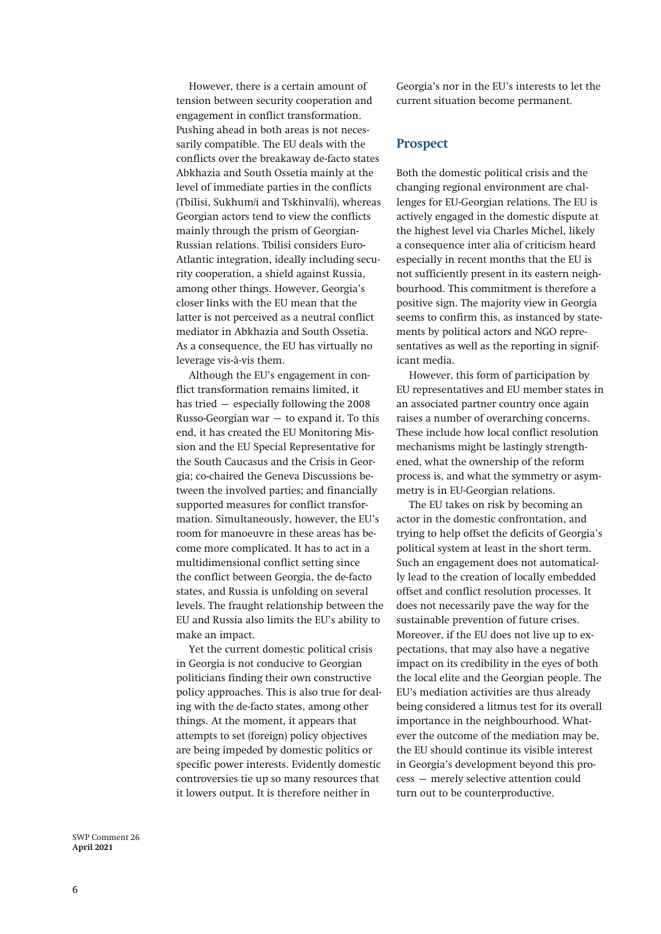However, there is a certain amount of tension between security cooperation and engagement in conflict transformation. Pushing ahead in both areas is not necessarily compatible. The EU deals with the conflicts over the breakaway de-facto states Abkhazia and South Ossetia mainly at the level of immediate parties in the conflicts (Tbilisi, Sukhum/i and Tskhinval/i), whereas Georgian actors tend to view the conflicts mainly through the prism of Georgian-Russian relations. Tbilisi considers Euro-Atlantic integration, ideally including security cooperation, a shield against Russia, among other things. However, Georgia's closer links with the EU mean that the latter is not perceived as a neutral conflict mediator in Abkhazia and South Ossetia. As a consequence, the EU has virtually no leverage vis-à-vis them.

Although the EU's engagement in conflict transformation remains limited, it has tried – especially following the 2008 Russo-Georgian war – to expand it. To this end, it has created the EU Monitoring Mission and the EU Special Representative for the South Caucasus and the Crisis in Georgia; co-chaired the Geneva Discussions between the involved parties; and financially supported measures for conflict transformation. Simultaneously, however, the EU's room for manoeuvre in these areas has become more complicated. It has to act in a [multidimensional](https://doi.org/10.1080/14650045.2018.1552944) conflict setting since the conflict between Georgia, the de-facto states, and Russia is unfolding on several levels. The fraught relationship between the EU and Russia also limits the EU's ability to make an impact.

Yet the current domestic political crisis in Georgia is not conducive to Georgian politicians finding their own constructive policy approaches. This is also true for dealing with the de-facto states, among other things. At the moment, it appears that attempts to set (foreign) policy objectives are being impeded by domestic politics or specific power interests. Evidently domestic controversies tie up so many resources that it lowers output. It is therefore neither in

Georgia's nor in the EU's interests to let the current situation become permanent.

#### **Prospect**

Both the domestic political crisis and the changing regional environment are challenges for EU-Georgian relations. The EU is actively engaged in the domestic dispute at the highest level via Charles Michel, likely a consequence inter alia of criticism heard especially in recent months that the EU is not sufficiently present in its eastern neighbourhood. This commitment is therefore a positive sign. The majority view in Georgia seems to confirm this, as instanced by statements by political actors and NGO representatives as well as the reporting in significant media.

However, this form of participation by EU representatives and EU member states in an associated partner country once again raises a number of overarching concerns. These include how local conflict resolution mechanisms might be lastingly strengthened, what the ownership of the reform process is, and what the symmetry or asymmetry is in EU-Georgian relations.

The EU takes on risk by becoming an actor in the domestic confrontation, and trying to help offset the deficits of Georgia's political system at least in the short term. Such an engagement does not automatically lead to the creation of locally embedded offset and conflict resolution processes. It does not necessarily pave the way for the sustainable prevention of future crises. Moreover, if the EU does not live up to expectations, that may also have a negative impact on its credibility in the eyes of both the local elite and the Georgian people. The EU's mediation activities are thus already being considered [a litmus test](https://www.ft.com/content/a9538521-0ae4-4d87-b32e-2f83b710ca5a) for its overall importance in the neighbourhood. Whatever the outcome of the mediation may be, the EU should continue its visible interest in Georgia's development beyond this process – merely selective attention could turn out to be counterproductive.